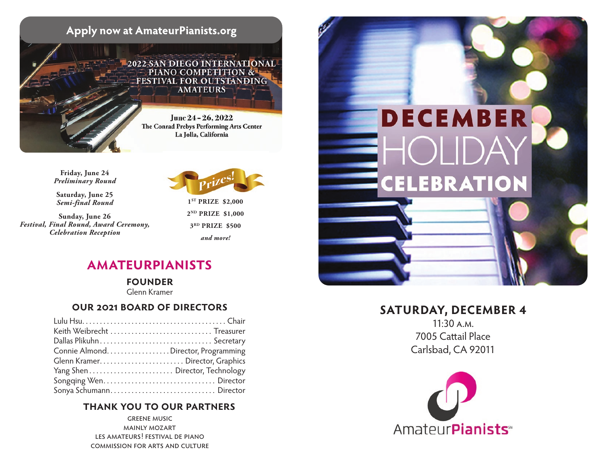

**Friday, June 24** *Preliminary Round*

**Saturday, June 25** *Semi-final Round*

**Sunday, June 26** *Festival, Final Round, Award Ceremony, Celebration Reception*



**1ST PRIZE \$2,000 2ND PRIZE \$1,000 3RD PRIZE \$500** *and more!*

## **amateurpianists**

**founder** 

Glenn Kramer

### **our 2021 board of directors**

| Keith Weibrecht  Treasurer           |  |
|--------------------------------------|--|
|                                      |  |
| Connie Almond. Director, Programming |  |
|                                      |  |
|                                      |  |
|                                      |  |
| Sonya Schumann Director              |  |

### **thank you to our partners**

greene music mainly mozart les amateurs! festival de piano commission for arts and culture



## **SATURDAY, DECEMBER 4**

11:30 a.m. 7005 Cattail Place Carlsbad, CA 92011